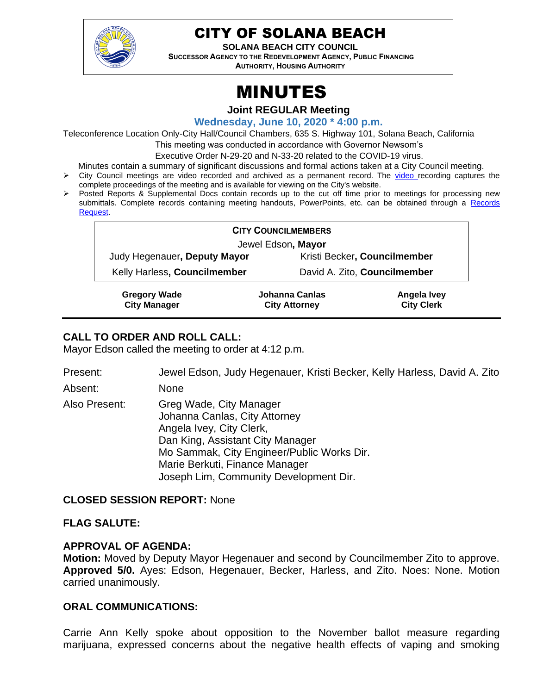

# CITY OF SOLANA BEACH

**SOLANA BEACH CITY COUNCIL SUCCESSOR AGENCY TO THE REDEVELOPMENT AGENCY, PUBLIC FINANCING AUTHORITY, HOUSING AUTHORITY** 

# MINUTES

**Joint REGULAR Meeting**

**Wednesday, June 10, 2020 \* 4:00 p.m.** 

Teleconference Location Only-City Hall/Council Chambers, 635 S. Highway 101, Solana Beach, California

This meeting was conducted in accordance with Governor Newsom's

Executive Order N-29-20 and N-33-20 related to the COVID-19 virus.

Minutes contain a summary of significant discussions and formal actions taken at a City Council meeting.

- ➢ City Council meetings are video recorded and archived as a permanent record. The [video r](https://solanabeach.12milesout.com/#page=1)ecording captures the complete proceedings of the meeting and is available for viewing on the City's website.
- ➢ Posted Reports & Supplemental Docs contain records up to the cut off time prior to meetings for processing new submittals. Complete records containing meeting handouts, PowerPoints, etc. can be obtained through a Records [Request.](http://www.ci.solana-beach.ca.us/index.asp?SEC=F5D45D10-70CE-4291-A27C-7BD633FC6742&Type=B_BASIC)

| <b>CITY COUNCILMEMBERS</b>   |                              |  |
|------------------------------|------------------------------|--|
| Jewel Edson, Mayor           |                              |  |
| Judy Hegenauer, Deputy Mayor | Kristi Becker, Councilmember |  |
| Kelly Harless, Councilmember | David A. Zito, Councilmember |  |
|                              |                              |  |

| <b>Gregory Wade</b> | Johanna Canlas       | Angela Ivey       |
|---------------------|----------------------|-------------------|
| <b>City Manager</b> | <b>City Attorney</b> | <b>City Clerk</b> |

# **CALL TO ORDER AND ROLL CALL:**

Mayor Edson called the meeting to order at 4:12 p.m.

Present: Jewel Edson, Judy Hegenauer, Kristi Becker, Kelly Harless, David A. Zito Absent: None

Also Present: Greg Wade, City Manager Johanna Canlas, City Attorney Angela Ivey, City Clerk, Dan King, Assistant City Manager Mo Sammak, City Engineer/Public Works Dir. Marie Berkuti, Finance Manager Joseph Lim, Community Development Dir.

# **CLOSED SESSION REPORT:** None

# **FLAG SALUTE:**

# **APPROVAL OF AGENDA:**

**Motion:** Moved by Deputy Mayor Hegenauer and second by Councilmember Zito to approve. **Approved 5/0.** Ayes: Edson, Hegenauer, Becker, Harless, and Zito. Noes: None. Motion carried unanimously.

# **ORAL COMMUNICATIONS:**

Carrie Ann Kelly spoke about opposition to the November ballot measure regarding marijuana, expressed concerns about the negative health effects of vaping and smoking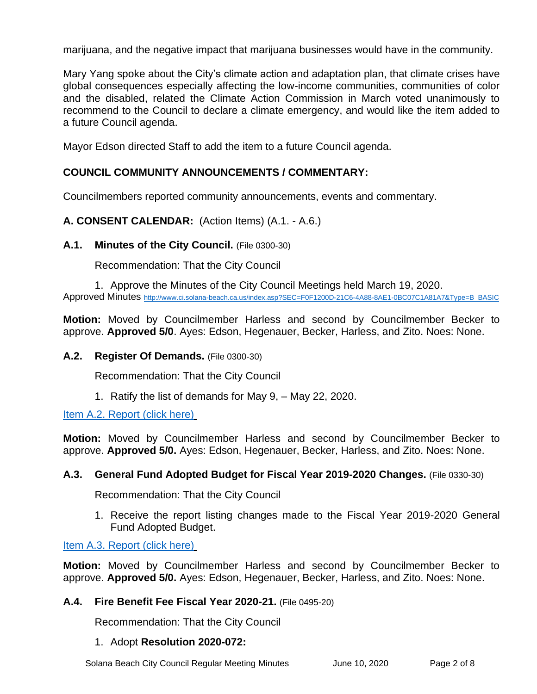marijuana, and the negative impact that marijuana businesses would have in the community.

Mary Yang spoke about the City's climate action and adaptation plan, that climate crises have global consequences especially affecting the low-income communities, communities of color and the disabled, related the Climate Action Commission in March voted unanimously to recommend to the Council to declare a climate emergency, and would like the item added to a future Council agenda.

Mayor Edson directed Staff to add the item to a future Council agenda.

# **COUNCIL COMMUNITY ANNOUNCEMENTS / COMMENTARY:**

Councilmembers reported community announcements, events and commentary.

**A. CONSENT CALENDAR:** (Action Items) (A.1. - A.6.)

#### **A.1. Minutes of the City Council.** (File 0300-30)

Recommendation: That the City Council

1. Approve the Minutes of the City Council Meetings held March 19, 2020. Approved Minutes [http://www.ci.solana-beach.ca.us/index.asp?SEC=F0F1200D-21C6-4A88-8AE1-0BC07C1A81A7&Type=B\\_BASIC](http://www.ci.solana-beach.ca.us/index.asp?SEC=F0F1200D-21C6-4A88-8AE1-0BC07C1A81A7&Type=B_BASIC)

**Motion:** Moved by Councilmember Harless and second by Councilmember Becker to approve. **Approved 5/0**. Ayes: Edson, Hegenauer, Becker, Harless, and Zito. Noes: None.

#### **A.2. Register Of Demands.** (File 0300-30)

Recommendation: That the City Council

1. Ratify the list of demands for May 9, – May 22, 2020.

[Item A.2. Report \(click here\)](https://solanabeach.govoffice3.com/vertical/Sites/%7B840804C2-F869-4904-9AE3-720581350CE7%7D/uploads/Item_A.2._Report_(click_here)_06-10-20_-_O.pdf)

**Motion:** Moved by Councilmember Harless and second by Councilmember Becker to approve. **Approved 5/0.** Ayes: Edson, Hegenauer, Becker, Harless, and Zito. Noes: None.

#### **A.3. General Fund Adopted Budget for Fiscal Year 2019-2020 Changes.** (File 0330-30)

Recommendation: That the City Council

1. Receive the report listing changes made to the Fiscal Year 2019-2020 General Fund Adopted Budget.

#### [Item A.3. Report \(click here\)](https://solanabeach.govoffice3.com/vertical/Sites/%7B840804C2-F869-4904-9AE3-720581350CE7%7D/uploads/Item_A.3._Report_(click_here)_06-10-20_-_O.pdf)

**Motion:** Moved by Councilmember Harless and second by Councilmember Becker to approve. **Approved 5/0.** Ayes: Edson, Hegenauer, Becker, Harless, and Zito. Noes: None.

# **A.4. Fire Benefit Fee Fiscal Year 2020-21.** (File 0495-20)

Recommendation: That the City Council

#### 1. Adopt **Resolution 2020-072:**

Solana Beach City Council Regular Meeting Minutes June 10, 2020 Page 2 of 8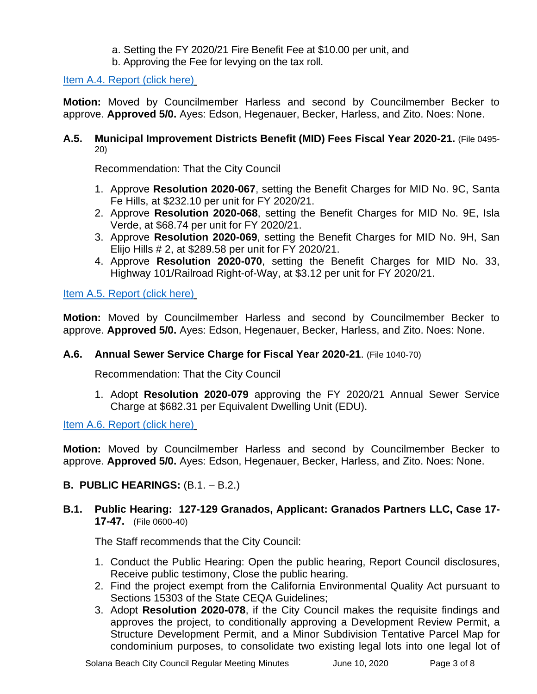# a. Setting the FY 2020/21 Fire Benefit Fee at \$10.00 per unit, and

b. Approving the Fee for levying on the tax roll.

[Item A.4. Report \(click here\)](https://solanabeach.govoffice3.com/vertical/Sites/%7B840804C2-F869-4904-9AE3-720581350CE7%7D/uploads/Item_A.4._Report_(click_here)_06-10-20_-_O.pdf)

**Motion:** Moved by Councilmember Harless and second by Councilmember Becker to approve. **Approved 5/0.** Ayes: Edson, Hegenauer, Becker, Harless, and Zito. Noes: None.

#### **A.5. Municipal Improvement Districts Benefit (MID) Fees Fiscal Year 2020-21.** (File 0495- 20)

Recommendation: That the City Council

- 1. Approve **Resolution 2020-067**, setting the Benefit Charges for MID No. 9C, Santa Fe Hills, at \$232.10 per unit for FY 2020/21.
- 2. Approve **Resolution 2020-068**, setting the Benefit Charges for MID No. 9E, Isla Verde, at \$68.74 per unit for FY 2020/21.
- 3. Approve **Resolution 2020-069**, setting the Benefit Charges for MID No. 9H, San Elijo Hills # 2, at \$289.58 per unit for FY 2020/21.
- 4. Approve **Resolution 2020-070**, setting the Benefit Charges for MID No. 33, Highway 101/Railroad Right-of-Way, at \$3.12 per unit for FY 2020/21.

[Item A.5. Report \(click here\)](https://solanabeach.govoffice3.com/vertical/Sites/%7B840804C2-F869-4904-9AE3-720581350CE7%7D/uploads/Item_A.5._Report_(click_here)_06-10-20_-_O.pdf)

**Motion:** Moved by Councilmember Harless and second by Councilmember Becker to approve. **Approved 5/0.** Ayes: Edson, Hegenauer, Becker, Harless, and Zito. Noes: None.

# **A.6. Annual Sewer Service Charge for Fiscal Year 2020-21**. (File 1040-70)

Recommendation: That the City Council

1. Adopt **Resolution 2020-079** approving the FY 2020/21 Annual Sewer Service Charge at \$682.31 per Equivalent Dwelling Unit (EDU).

[Item A.6. Report \(click here\)](https://solanabeach.govoffice3.com/vertical/Sites/%7B840804C2-F869-4904-9AE3-720581350CE7%7D/uploads/Item_A.6._Report_(click_here)_06-10-20_-_O.pdf)

**Motion:** Moved by Councilmember Harless and second by Councilmember Becker to approve. **Approved 5/0.** Ayes: Edson, Hegenauer, Becker, Harless, and Zito. Noes: None.

# **B. PUBLIC HEARINGS:**  $(B.1. - B.2.)$

**B.1. Public Hearing: 127-129 Granados, Applicant: Granados Partners LLC, Case 17- 17-47.** (File 0600-40)

The Staff recommends that the City Council:

- 1. Conduct the Public Hearing: Open the public hearing, Report Council disclosures, Receive public testimony, Close the public hearing.
- 2. Find the project exempt from the California Environmental Quality Act pursuant to Sections 15303 of the State CEQA Guidelines;
- 3. Adopt **Resolution 2020-078**, if the City Council makes the requisite findings and approves the project, to conditionally approving a Development Review Permit, a Structure Development Permit, and a Minor Subdivision Tentative Parcel Map for condominium purposes, to consolidate two existing legal lots into one legal lot of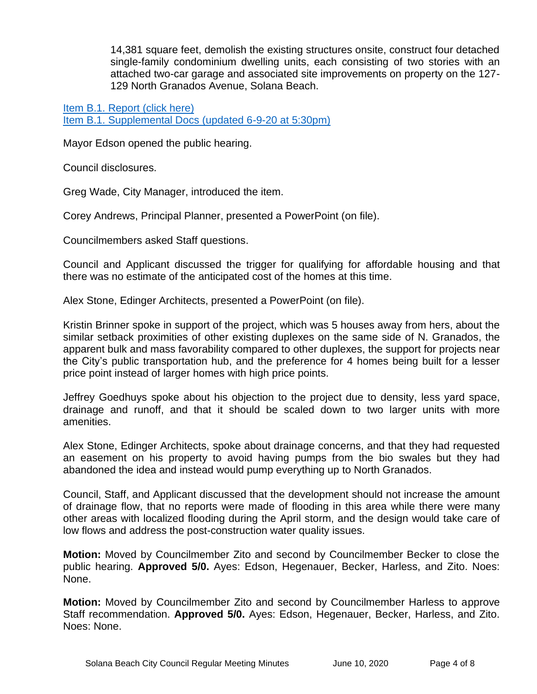14,381 square feet, demolish the existing structures onsite, construct four detached single-family condominium dwelling units, each consisting of two stories with an attached two-car garage and associated site improvements on property on the 127- 129 North Granados Avenue, Solana Beach.

[Item B.1. Report \(click here\)](https://www.dropbox.com/sh/ixkqaovxs5i0eoi/AADlAi0JZGUBDosqPf5kyC73a?dl=0) [Item B.1. Supplemental Docs \(updated 6-9-20](https://solanabeach.govoffice3.com/vertical/Sites/%7B840804C2-F869-4904-9AE3-720581350CE7%7D/uploads/Item_B.1._Supplemental_Docs(Updated_6-9-20_at_530pm)_-_O.pdf) at 5:30pm)

Mayor Edson opened the public hearing.

Council disclosures.

Greg Wade, City Manager, introduced the item.

Corey Andrews, Principal Planner, presented a PowerPoint (on file).

Councilmembers asked Staff questions.

Council and Applicant discussed the trigger for qualifying for affordable housing and that there was no estimate of the anticipated cost of the homes at this time.

Alex Stone, Edinger Architects, presented a PowerPoint (on file).

Kristin Brinner spoke in support of the project, which was 5 houses away from hers, about the similar setback proximities of other existing duplexes on the same side of N. Granados, the apparent bulk and mass favorability compared to other duplexes, the support for projects near the City's public transportation hub, and the preference for 4 homes being built for a lesser price point instead of larger homes with high price points.

Jeffrey Goedhuys spoke about his objection to the project due to density, less yard space, drainage and runoff, and that it should be scaled down to two larger units with more amenities.

Alex Stone, Edinger Architects, spoke about drainage concerns, and that they had requested an easement on his property to avoid having pumps from the bio swales but they had abandoned the idea and instead would pump everything up to North Granados.

Council, Staff, and Applicant discussed that the development should not increase the amount of drainage flow, that no reports were made of flooding in this area while there were many other areas with localized flooding during the April storm, and the design would take care of low flows and address the post-construction water quality issues.

**Motion:** Moved by Councilmember Zito and second by Councilmember Becker to close the public hearing. **Approved 5/0.** Ayes: Edson, Hegenauer, Becker, Harless, and Zito. Noes: None.

**Motion:** Moved by Councilmember Zito and second by Councilmember Harless to approve Staff recommendation. **Approved 5/0.** Ayes: Edson, Hegenauer, Becker, Harless, and Zito. Noes: None.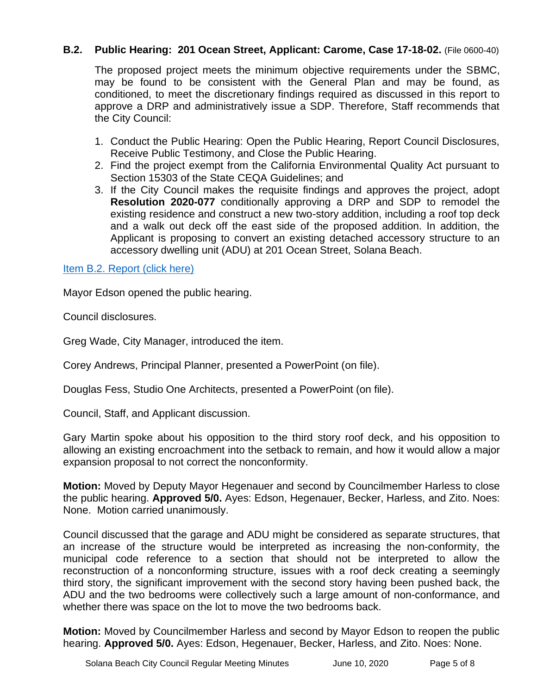# **B.2. Public Hearing: 201 Ocean Street, Applicant: Carome, Case 17-18-02.** (File 0600-40)

The proposed project meets the minimum objective requirements under the SBMC, may be found to be consistent with the General Plan and may be found, as conditioned, to meet the discretionary findings required as discussed in this report to approve a DRP and administratively issue a SDP. Therefore, Staff recommends that the City Council:

- 1. Conduct the Public Hearing: Open the Public Hearing, Report Council Disclosures, Receive Public Testimony, and Close the Public Hearing.
- 2. Find the project exempt from the California Environmental Quality Act pursuant to Section 15303 of the State CEQA Guidelines; and
- 3. If the City Council makes the requisite findings and approves the project, adopt **Resolution 2020-077** conditionally approving a DRP and SDP to remodel the existing residence and construct a new two-story addition, including a roof top deck and a walk out deck off the east side of the proposed addition. In addition, the Applicant is proposing to convert an existing detached accessory structure to an accessory dwelling unit (ADU) at 201 Ocean Street, Solana Beach.

[Item B.2. Report \(click here\)](https://solanabeach.govoffice3.com/vertical/Sites/%7B840804C2-F869-4904-9AE3-720581350CE7%7D/uploads/Item_B.2._Report_(click_here)_06-10-20_-_O.pdf)

Mayor Edson opened the public hearing.

Council disclosures.

Greg Wade, City Manager, introduced the item.

Corey Andrews, Principal Planner, presented a PowerPoint (on file).

Douglas Fess, Studio One Architects, presented a PowerPoint (on file).

Council, Staff, and Applicant discussion.

Gary Martin spoke about his opposition to the third story roof deck, and his opposition to allowing an existing encroachment into the setback to remain, and how it would allow a major expansion proposal to not correct the nonconformity.

**Motion:** Moved by Deputy Mayor Hegenauer and second by Councilmember Harless to close the public hearing. **Approved 5/0.** Ayes: Edson, Hegenauer, Becker, Harless, and Zito. Noes: None. Motion carried unanimously.

Council discussed that the garage and ADU might be considered as separate structures, that an increase of the structure would be interpreted as increasing the non-conformity, the municipal code reference to a section that should not be interpreted to allow the reconstruction of a nonconforming structure, issues with a roof deck creating a seemingly third story, the significant improvement with the second story having been pushed back, the ADU and the two bedrooms were collectively such a large amount of non-conformance, and whether there was space on the lot to move the two bedrooms back.

**Motion:** Moved by Councilmember Harless and second by Mayor Edson to reopen the public hearing. **Approved 5/0.** Ayes: Edson, Hegenauer, Becker, Harless, and Zito. Noes: None.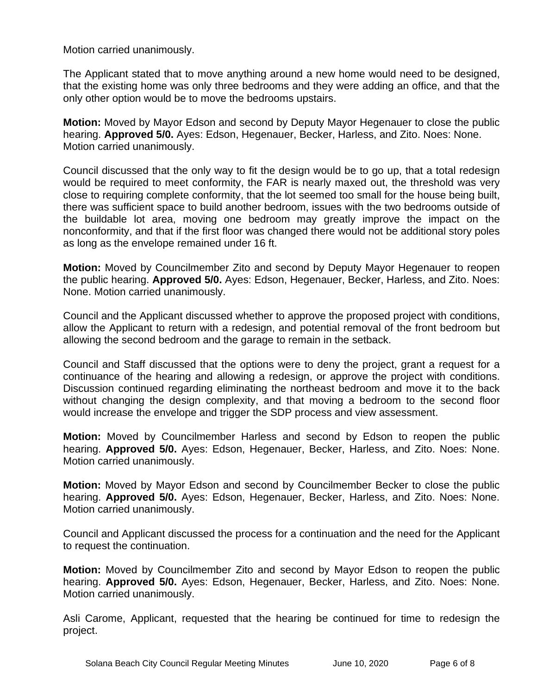Motion carried unanimously.

The Applicant stated that to move anything around a new home would need to be designed, that the existing home was only three bedrooms and they were adding an office, and that the only other option would be to move the bedrooms upstairs.

**Motion:** Moved by Mayor Edson and second by Deputy Mayor Hegenauer to close the public hearing. **Approved 5/0.** Ayes: Edson, Hegenauer, Becker, Harless, and Zito. Noes: None. Motion carried unanimously.

Council discussed that the only way to fit the design would be to go up, that a total redesign would be required to meet conformity, the FAR is nearly maxed out, the threshold was very close to requiring complete conformity, that the lot seemed too small for the house being built, there was sufficient space to build another bedroom, issues with the two bedrooms outside of the buildable lot area, moving one bedroom may greatly improve the impact on the nonconformity, and that if the first floor was changed there would not be additional story poles as long as the envelope remained under 16 ft.

**Motion:** Moved by Councilmember Zito and second by Deputy Mayor Hegenauer to reopen the public hearing. **Approved 5/0.** Ayes: Edson, Hegenauer, Becker, Harless, and Zito. Noes: None. Motion carried unanimously.

Council and the Applicant discussed whether to approve the proposed project with conditions, allow the Applicant to return with a redesign, and potential removal of the front bedroom but allowing the second bedroom and the garage to remain in the setback.

Council and Staff discussed that the options were to deny the project, grant a request for a continuance of the hearing and allowing a redesign, or approve the project with conditions. Discussion continued regarding eliminating the northeast bedroom and move it to the back without changing the design complexity, and that moving a bedroom to the second floor would increase the envelope and trigger the SDP process and view assessment.

**Motion:** Moved by Councilmember Harless and second by Edson to reopen the public hearing. **Approved 5/0.** Ayes: Edson, Hegenauer, Becker, Harless, and Zito. Noes: None. Motion carried unanimously.

**Motion:** Moved by Mayor Edson and second by Councilmember Becker to close the public hearing. **Approved 5/0.** Ayes: Edson, Hegenauer, Becker, Harless, and Zito. Noes: None. Motion carried unanimously.

Council and Applicant discussed the process for a continuation and the need for the Applicant to request the continuation.

**Motion:** Moved by Councilmember Zito and second by Mayor Edson to reopen the public hearing. **Approved 5/0.** Ayes: Edson, Hegenauer, Becker, Harless, and Zito. Noes: None. Motion carried unanimously.

Asli Carome, Applicant, requested that the hearing be continued for time to redesign the project.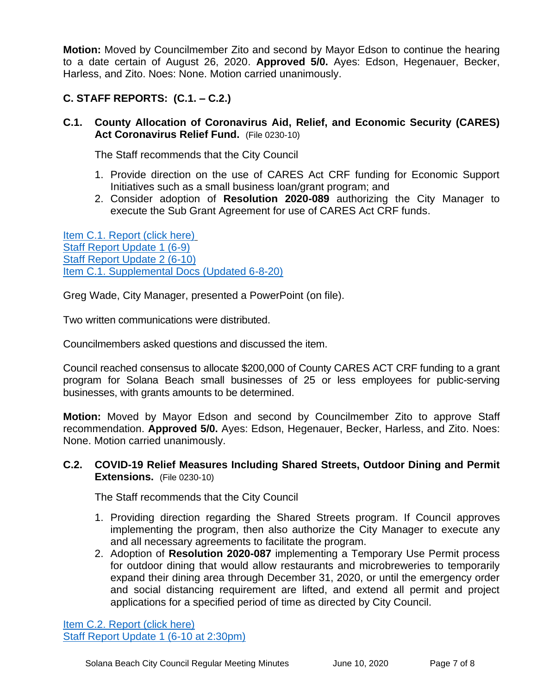**Motion:** Moved by Councilmember Zito and second by Mayor Edson to continue the hearing to a date certain of August 26, 2020. **Approved 5/0.** Ayes: Edson, Hegenauer, Becker, Harless, and Zito. Noes: None. Motion carried unanimously.

# **C. STAFF REPORTS: (C.1. – C.2.)**

**C.1. County Allocation of Coronavirus Aid, Relief, and Economic Security (CARES) Act Coronavirus Relief Fund.** (File 0230-10)

The Staff recommends that the City Council

- 1. Provide direction on the use of CARES Act CRF funding for Economic Support Initiatives such as a small business loan/grant program; and
- 2. Consider adoption of **Resolution 2020-089** authorizing the City Manager to execute the Sub Grant Agreement for use of CARES Act CRF funds.

[Item C.1. Report \(click here\)](https://solanabeach.govoffice3.com/vertical/Sites/%7B840804C2-F869-4904-9AE3-720581350CE7%7D/uploads/Item_C.1._Report_(click_here)_06-10-20_-_O(2).pdf) [Staff Report Update 1 \(6-9\)](https://solanabeach.govoffice3.com/vertical/Sites/%7B840804C2-F869-4904-9AE3-720581350CE7%7D/uploads/Item_C.1._Staff_Report_Update_1_(Updated_6-9_at_110pm)_-_O.pdf) [Staff Report Update 2 \(6-10\)](https://solanabeach.govoffice3.com/vertical/Sites/%7B840804C2-F869-4904-9AE3-720581350CE7%7D/uploads/Item_C.1._Staff_Report_Update_2_-_O.pdf) [Item C.1. Supplemental Docs \(Updated 6-8-20\)](https://solanabeach.govoffice3.com/vertical/Sites/%7B840804C2-F869-4904-9AE3-720581350CE7%7D/uploads/Item_C.1._Supplemental_Docs_(Updated_6-8-20)_-_O.pdf)

Greg Wade, City Manager, presented a PowerPoint (on file).

Two written communications were distributed.

Councilmembers asked questions and discussed the item.

Council reached consensus to allocate \$200,000 of County CARES ACT CRF funding to a grant program for Solana Beach small businesses of 25 or less employees for public-serving businesses, with grants amounts to be determined.

**Motion:** Moved by Mayor Edson and second by Councilmember Zito to approve Staff recommendation. **Approved 5/0.** Ayes: Edson, Hegenauer, Becker, Harless, and Zito. Noes: None. Motion carried unanimously.

#### **C.2. COVID-19 Relief Measures Including Shared Streets, Outdoor Dining and Permit Extensions.** (File 0230-10)

The Staff recommends that the City Council

- 1. Providing direction regarding the Shared Streets program. If Council approves implementing the program, then also authorize the City Manager to execute any and all necessary agreements to facilitate the program.
- 2. Adoption of **Resolution 2020-087** implementing a Temporary Use Permit process for outdoor dining that would allow restaurants and microbreweries to temporarily expand their dining area through December 31, 2020, or until the emergency order and social distancing requirement are lifted, and extend all permit and project applications for a specified period of time as directed by City Council.

[Item C.2. Report](https://solanabeach.govoffice3.com/vertical/Sites/%7B840804C2-F869-4904-9AE3-720581350CE7%7D/uploads/Item_C.2._Report_(click_here)_06-10-20_-_O.pdf) (click here) [Staff Report Update 1 \(6-10 at 2:30pm\)](https://solanabeach.govoffice3.com/vertical/Sites/%7B840804C2-F869-4904-9AE3-720581350CE7%7D/uploads/Item_C.2._Staff_Report_Update_1_(Updated_6-10-20_at_230pm)_-_O.pdf)